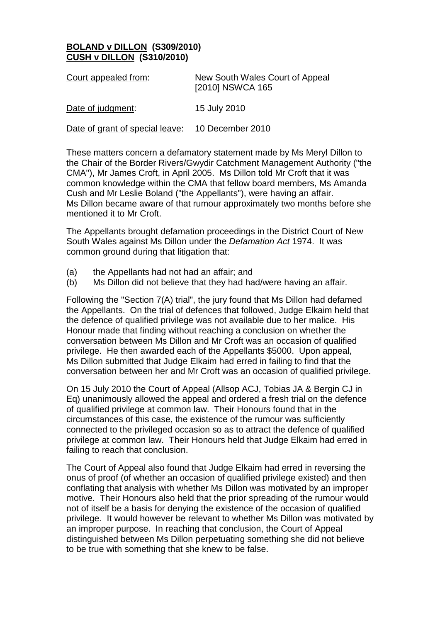## **BOLAND v DILLON (S309/2010) CUSH v DILLON (S310/2010)**

| Court appealed from:            | New South Wales Court of Appeal<br>[2010] NSWCA 165 |
|---------------------------------|-----------------------------------------------------|
| Date of judgment:               | 15 July 2010                                        |
| Date of grant of special leave: | 10 December 2010                                    |

These matters concern a defamatory statement made by Ms Meryl Dillon to the Chair of the Border Rivers/Gwydir Catchment Management Authority ("the CMA"), Mr James Croft, in April 2005. Ms Dillon told Mr Croft that it was common knowledge within the CMA that fellow board members, Ms Amanda Cush and Mr Leslie Boland ("the Appellants"), were having an affair. Ms Dillon became aware of that rumour approximately two months before she mentioned it to Mr Croft.

The Appellants brought defamation proceedings in the District Court of New South Wales against Ms Dillon under the *Defamation Act* 1974. It was common ground during that litigation that:

- (a) the Appellants had not had an affair; and
- (b) Ms Dillon did not believe that they had had/were having an affair.

Following the "Section 7(A) trial", the jury found that Ms Dillon had defamed the Appellants. On the trial of defences that followed, Judge Elkaim held that the defence of qualified privilege was not available due to her malice. His Honour made that finding without reaching a conclusion on whether the conversation between Ms Dillon and Mr Croft was an occasion of qualified privilege. He then awarded each of the Appellants \$5000. Upon appeal, Ms Dillon submitted that Judge Elkaim had erred in failing to find that the conversation between her and Mr Croft was an occasion of qualified privilege.

On 15 July 2010 the Court of Appeal (Allsop ACJ, Tobias JA & Bergin CJ in Eq) unanimously allowed the appeal and ordered a fresh trial on the defence of qualified privilege at common law. Their Honours found that in the circumstances of this case, the existence of the rumour was sufficiently connected to the privileged occasion so as to attract the defence of qualified privilege at common law. Their Honours held that Judge Elkaim had erred in failing to reach that conclusion.

The Court of Appeal also found that Judge Elkaim had erred in reversing the onus of proof (of whether an occasion of qualified privilege existed) and then conflating that analysis with whether Ms Dillon was motivated by an improper motive. Their Honours also held that the prior spreading of the rumour would not of itself be a basis for denying the existence of the occasion of qualified privilege. It would however be relevant to whether Ms Dillon was motivated by an improper purpose. In reaching that conclusion, the Court of Appeal distinguished between Ms Dillon perpetuating something she did not believe to be true with something that she knew to be false.